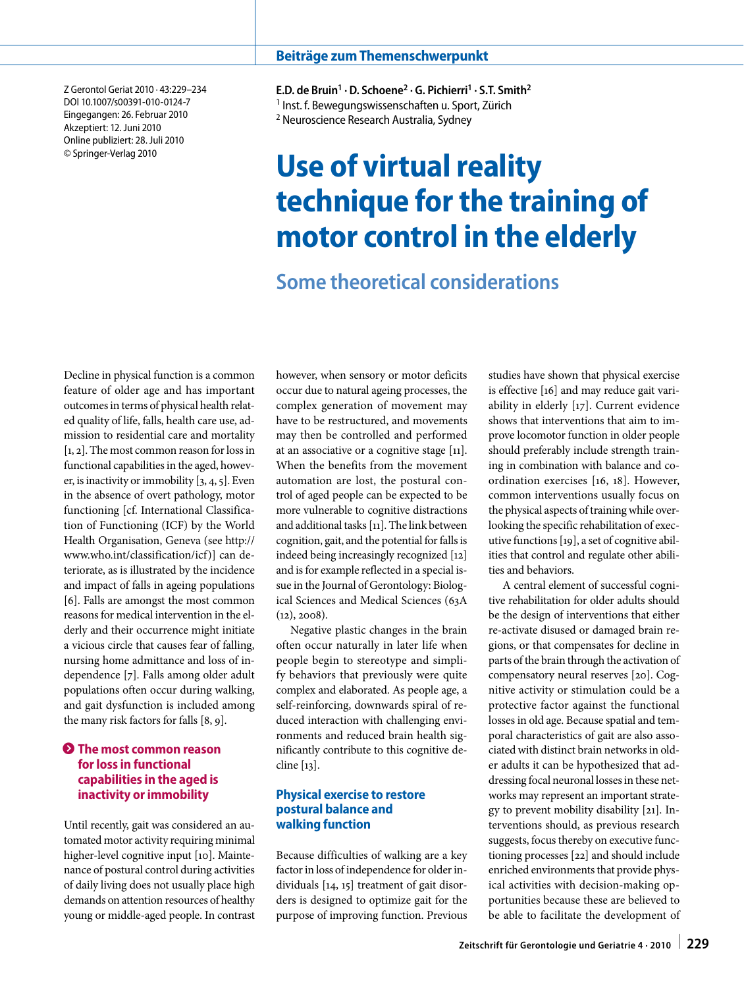Z Gerontol Geriat 2010 · 43:229–234 DOI 10.1007/s00391-010-0124-7 Eingegangen: 26. Februar 2010 Akzeptiert: 12. Juni 2010 Online publiziert: 28. Juli 2010 © Springer-Verlag 2010

**E.D. de Bruin1 · D. Schoene2 · G. Pichierri1 · S.T. Smith2** <sup>1</sup> Inst. f. Bewegungswissenschaften u. Sport, Zürich

<sup>2</sup> Neuroscience Research Australia, Sydney

# **Use of virtual reality technique for the training of motor control in the elderly**

# **Some theoretical considerations**

Decline in physical function is a common feature of older age and has important outcomes in terms of physical health related quality of life, falls, health care use, admission to residential care and mortality [1, 2]. The most common reason for loss in functional capabilities in the aged, however, is inactivity or immobility [3, 4, 5]. Even in the absence of overt pathology, motor functioning [cf. International Classification of Functioning (ICF) by the World Health Organisation, Geneva (see http:// www.who.int/classification/icf)] can deteriorate, as is illustrated by the incidence and impact of falls in ageing populations [6]. Falls are amongst the most common reasons for medical intervention in the elderly and their occurrence might initiate a vicious circle that causes fear of falling, nursing home admittance and loss of independence [7]. Falls among older adult populations often occur during walking, and gait dysfunction is included among the many risk factors for falls [8, 9].

### <sup>&</sup>gt;**The most common reason for loss in functional capabilities in the aged is inactivity or immobility**

Until recently, gait was considered an automated motor activity requiring minimal higher-level cognitive input [10]. Maintenance of postural control during activities of daily living does not usually place high demands on attention resources of healthy young or middle-aged people. In contrast however, when sensory or motor deficits occur due to natural ageing processes, the complex generation of movement may have to be restructured, and movements may then be controlled and performed at an associative or a cognitive stage [11]. When the benefits from the movement automation are lost, the postural control of aged people can be expected to be more vulnerable to cognitive distractions and additional tasks [11]. The link between cognition, gait, and the potential for falls is indeed being increasingly recognized [12] and is for example reflected in a special issue in the Journal of Gerontology: Biological Sciences and Medical Sciences (63A  $(12)$ , 2008).

Negative plastic changes in the brain often occur naturally in later life when people begin to stereotype and simplify behaviors that previously were quite complex and elaborated. As people age, a self-reinforcing, downwards spiral of reduced interaction with challenging environments and reduced brain health significantly contribute to this cognitive decline [13].

### **Physical exercise to restore postural balance and walking function**

Because difficulties of walking are a key factor in loss of independence for older individuals [14, 15] treatment of gait disorders is designed to optimize gait for the purpose of improving function. Previous studies have shown that physical exercise is effective [16] and may reduce gait variability in elderly [17]. Current evidence shows that interventions that aim to improve locomotor function in older people should preferably include strength training in combination with balance and coordination exercises [16, 18]. However, common interventions usually focus on the physical aspects of training while overlooking the specific rehabilitation of executive functions [19], a set of cognitive abilities that control and regulate other abilities and behaviors.

A central element of successful cognitive rehabilitation for older adults should be the design of interventions that either re-activate disused or damaged brain regions, or that compensates for decline in parts of the brain through the activation of compensatory neural reserves [20]. Cognitive activity or stimulation could be a protective factor against the functional losses in old age. Because spatial and temporal characteristics of gait are also associated with distinct brain networks in older adults it can be hypothesized that addressing focal neuronal losses in these networks may represent an important strategy to prevent mobility disability [21]. Interventions should, as previous research suggests, focus thereby on executive functioning processes [22] and should include enriched environments that provide physical activities with decision-making opportunities because these are believed to be able to facilitate the development of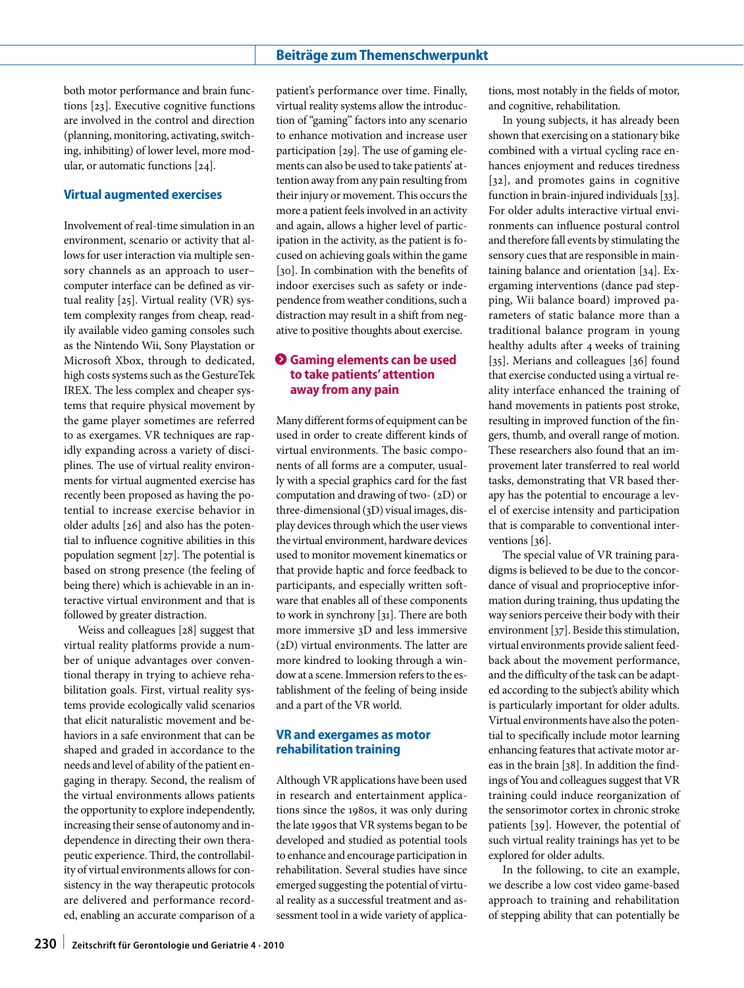both motor performance and brain functions [23]. Executive cognitive functions are involved in the control and direction (planning, monitoring, activating, switching, inhibiting) of lower level, more modular, or automatic functions [24].

#### **Virtual augmented exercises**

Involvement of real-time simulation in an environment, scenario or activity that allows for user interaction via multiple sensory channels as an approach to user– computer interface can be defined as virtual reality [25]. Virtual reality (VR) system complexity ranges from cheap, readily available video gaming consoles such as the Nintendo Wii, Sony Playstation or Microsoft Xbox, through to dedicated, high costs systems such as the GestureTek IREX. The less complex and cheaper systems that require physical movement by the game player sometimes are referred to as exergames. VR techniques are rapidly expanding across a variety of disciplines. The use of virtual reality environments for virtual augmented exercise has recently been proposed as having the potential to increase exercise behavior in older adults [26] and also has the potential to influence cognitive abilities in this population segment [27]. The potential is based on strong presence (the feeling of being there) which is achievable in an interactive virtual environment and that is followed by greater distraction.

Weiss and colleagues [28] suggest that virtual reality platforms provide a number of unique advantages over conventional therapy in trying to achieve rehabilitation goals. First, virtual reality systems provide ecologically valid scenarios that elicit naturalistic movement and behaviors in a safe environment that can be shaped and graded in accordance to the needs and level of ability of the patient engaging in therapy. Second, the realism of the virtual environments allows patients the opportunity to explore independently, increasing their sense of autonomy and independence in directing their own therapeutic experience. Third, the controllability of virtual environments allows for consistency in the way therapeutic protocols are delivered and performance recorded, enabling an accurate comparison of a

patient's performance over time. Finally, virtual reality systems allow the introduction of "gaming" factors into any scenario to enhance motivation and increase user participation [29]. The use of gaming elements can also be used to take patients' attention away from any pain resulting from their injury or movement. This occurs the more a patient feels involved in an activity and again, allows a higher level of participation in the activity, as the patient is focused on achieving goals within the game [30]. In combination with the benefits of indoor exercises such as safety or independence from weather conditions, such a distraction may result in a shift from negative to positive thoughts about exercise.

#### <sup>&</sup>gt;**Gaming elements can be used to take patients' attention away from any pain**

Many different forms of equipment can be used in order to create different kinds of virtual environments. The basic components of all forms are a computer, usually with a special graphics card for the fast computation and drawing of two- (2D) or three-dimensional (3D) visual images, display devices through which the user views the virtual environment, hardware devices used to monitor movement kinematics or that provide haptic and force feedback to participants, and especially written software that enables all of these components to work in synchrony [31]. There are both more immersive 3D and less immersive (2D) virtual environments. The latter are more kindred to looking through a window at a scene. Immersion refers to the establishment of the feeling of being inside and a part of the VR world.

#### **VR and exergames as motor rehabilitation training**

Although VR applications have been used in research and entertainment applications since the 1980s, it was only during the late 1990s that VR systems began to be developed and studied as potential tools to enhance and encourage participation in rehabilitation. Several studies have since emerged suggesting the potential of virtual reality as a successful treatment and assessment tool in a wide variety of applications, most notably in the fields of motor, and cognitive, rehabilitation.

In young subjects, it has already been shown that exercising on a stationary bike combined with a virtual cycling race enhances enjoyment and reduces tiredness [32], and promotes gains in cognitive function in brain-injured individuals [33]. For older adults interactive virtual environments can influence postural control and therefore fall events by stimulating the sensory cues that are responsible in maintaining balance and orientation [34]. Exergaming interventions (dance pad stepping, Wii balance board) improved parameters of static balance more than a traditional balance program in young healthy adults after 4 weeks of training [35]. Merians and colleagues [36] found that exercise conducted using a virtual reality interface enhanced the training of hand movements in patients post stroke, resulting in improved function of the fingers, thumb, and overall range of motion. These researchers also found that an improvement later transferred to real world tasks, demonstrating that VR based therapy has the potential to encourage a level of exercise intensity and participation that is comparable to conventional interventions [36].

The special value of VR training paradigms is believed to be due to the concordance of visual and proprioceptive information during training, thus updating the way seniors perceive their body with their environment [37]. Beside this stimulation, virtual environments provide salient feedback about the movement performance, and the difficulty of the task can be adapted according to the subject's ability which is particularly important for older adults. Virtual environments have also the potential to specifically include motor learning enhancing features that activate motor areas in the brain [38]. In addition the findings of You and colleagues suggest that VR training could induce reorganization of the sensorimotor cortex in chronic stroke patients [39]. However, the potential of such virtual reality trainings has yet to be explored for older adults.

In the following, to cite an example, we describe a low cost video game-based approach to training and rehabilitation of stepping ability that can potentially be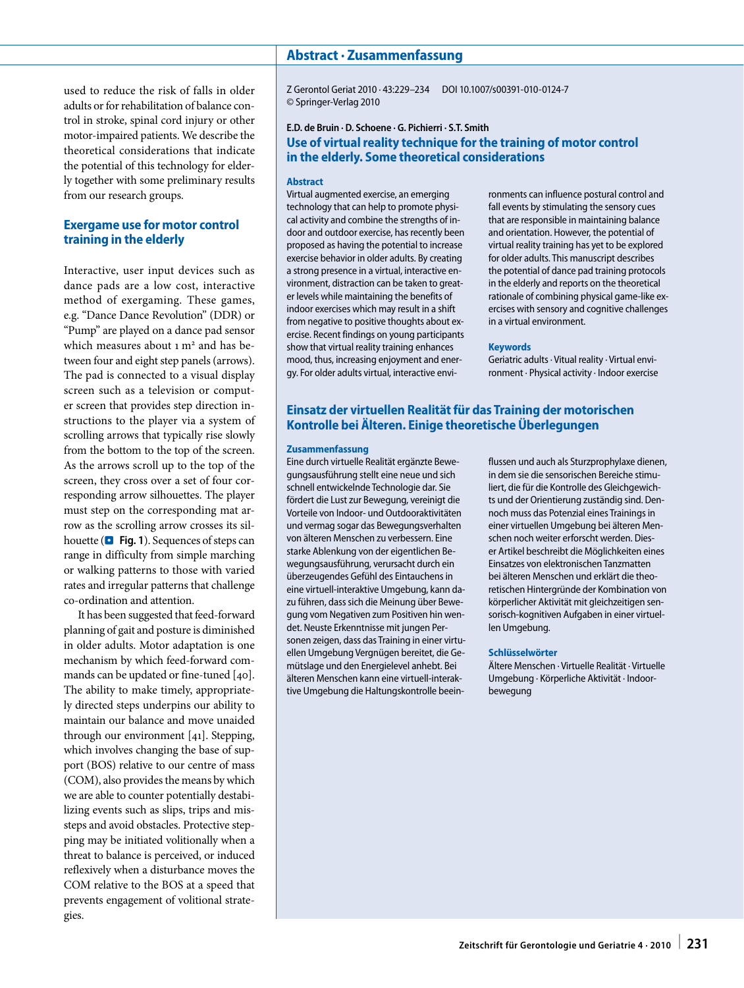used to reduce the risk of falls in older adults or for rehabilitation of balance control in stroke, spinal cord injury or other motor-impaired patients. We describe the theoretical considerations that indicate the potential of this technology for elderly together with some preliminary results from our research groups.

## **Exergame use for motor control training in the elderly**

Interactive, user input devices such as dance pads are a low cost, interactive method of exergaming. These games, e.g. "Dance Dance Revolution" (DDR) or "Pump" are played on a dance pad sensor which measures about 1 m<sup>2</sup> and has between four and eight step panels (arrows). The pad is connected to a visual display screen such as a television or computer screen that provides step direction instructions to the player via a system of scrolling arrows that typically rise slowly from the bottom to the top of the screen. As the arrows scroll up to the top of the screen, they cross over a set of four corresponding arrow silhouettes. The player must step on the corresponding mat arrow as the scrolling arrow crosses its silhouette (**a** Fig. 1). Sequences of steps can range in difficulty from simple marching or walking patterns to those with varied rates and irregular patterns that challenge co-ordination and attention.

It has been suggested that feed-forward planning of gait and posture is diminished in older adults. Motor adaptation is one mechanism by which feed-forward commands can be updated or fine-tuned [40]. The ability to make timely, appropriately directed steps underpins our ability to maintain our balance and move unaided through our environment [41]. Stepping, which involves changing the base of support (BOS) relative to our centre of mass (COM), also provides the means by which we are able to counter potentially destabilizing events such as slips, trips and missteps and avoid obstacles. Protective stepping may be initiated volitionally when a threat to balance is perceived, or induced reflexively when a disturbance moves the COM relative to the BOS at a speed that prevents engagement of volitional strategies.

#### **Abstract · Zusammenfassung**

Z Gerontol Geriat 2010 · 43:229–234 DOI 10.1007/s00391-010-0124-7 © Springer-Verlag 2010

#### **E.D. de Bruin · D. Schoene · G. Pichierri · S.T. Smith Use of virtual reality technique for the training of motor control in the elderly. Some theoretical considerations**

#### **Abstract**

Virtual augmented exercise, an emerging technology that can help to promote physical activity and combine the strengths of indoor and outdoor exercise, has recently been proposed as having the potential to increase exercise behavior in older adults. By creating a strong presence in a virtual, interactive environment, distraction can be taken to greater levels while maintaining the benefits of indoor exercises which may result in a shift from negative to positive thoughts about exercise. Recent findings on young participants show that virtual reality training enhances mood, thus, increasing enjoyment and energy. For older adults virtual, interactive environments can influence postural control and fall events by stimulating the sensory cues that are responsible in maintaining balance and orientation. However, the potential of virtual reality training has yet to be explored for older adults. This manuscript describes the potential of dance pad training protocols in the elderly and reports on the theoretical rationale of combining physical game-like exercises with sensory and cognitive challenges in a virtual environment.

#### **Keywords**

Geriatric adults· Vitual reality · Virtual environment · Physical activity · Indoor exercise

## **Einsatz der virtuellen Realität für das Training der motorischen Kontrolle bei Älteren. Einige theoretische Überlegungen**

#### **Zusammenfassung**

Eine durch virtuelle Realität ergänzte Bewegungsausführung stellt eine neue und sich schnell entwickelnde Technologie dar. Sie fördert die Lust zur Bewegung, vereinigt die Vorteile von Indoor- und Outdooraktivitäten und vermag sogar das Bewegungsverhalten von älteren Menschen zu verbessern. Eine starke Ablenkung von der eigentlichen Bewegungsausführung, verursacht durch ein überzeugendes Gefühl des Eintauchens in eine virtuell-interaktive Umgebung, kann dazu führen, dass sich die Meinung über Bewegung vom Negativen zum Positiven hin wendet. Neuste Erkenntnisse mit jungen Personen zeigen, dass das Training in einer virtuellen Umgebung Vergnügen bereitet, die Gemütslage und den Energielevel anhebt. Bei älteren Menschen kann eine virtuell-interaktive Umgebung die Haltungskontrolle beeinflussen und auch als Sturzprophylaxe dienen, in dem sie die sensorischen Bereiche stimuliert, die für die Kontrolle des Gleichgewichts und der Orientierung zuständig sind. Dennoch muss das Potenzial eines Trainings in einer virtuellen Umgebung bei älteren Menschen noch weiter erforscht werden. Dieser Artikel beschreibt die Möglichkeiten eines Einsatzes von elektronischen Tanzmatten bei älteren Menschen und erklärt die theoretischen Hintergründe der Kombination von körperlicher Aktivität mit gleichzeitigen sensorisch-kognitiven Aufgaben in einer virtuellen Umgebung.

#### **Schlüsselwörter**

Ältere Menschen · Virtuelle Realität · Virtuelle Umgebung · Körperliche Aktivität · Indoorbewegung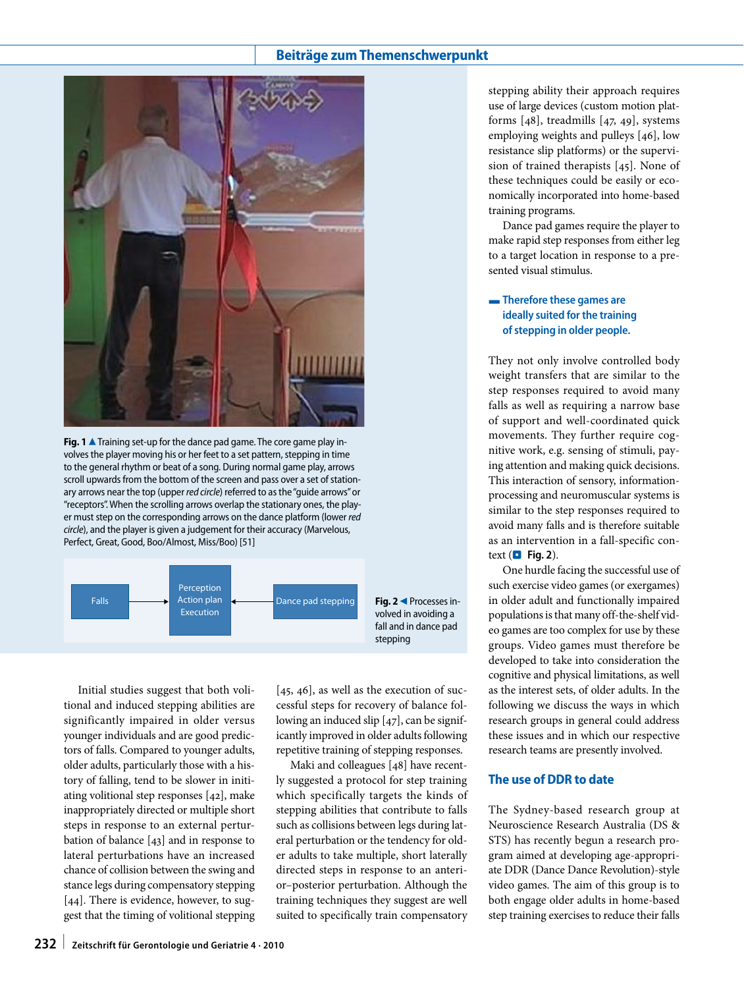

**Fig. 1 ▲** Training set-up for the dance pad game. The core game play involves the player moving his or her feet to a set pattern, stepping in time to the general rhythm or beat of a song. During normal game play, arrows scroll upwards from the bottom of the screen and pass over a set of stationary arrows near the top (upper *red circle*) referred to as the "guide arrows" or "receptors". When the scrolling arrows overlap the stationary ones, the player must step on the corresponding arrows on the dance platform (lower *red circle*), and the player is given a judgement for their accuracy (Marvelous, Perfect, Great, Good, Boo/Almost, Miss/Boo) [51]



Initial studies suggest that both volitional and induced stepping abilities are significantly impaired in older versus younger individuals and are good predictors of falls. Compared to younger adults, older adults, particularly those with a history of falling, tend to be slower in initiating volitional step responses [42], make inappropriately directed or multiple short steps in response to an external perturbation of balance [43] and in response to lateral perturbations have an increased chance of collision between the swing and stance legs during compensatory stepping [44]. There is evidence, however, to suggest that the timing of volitional stepping

 $[45, 46]$ , as well as the execution of successful steps for recovery of balance following an induced slip [47], can be significantly improved in older adults following repetitive training of stepping responses.

Maki and colleagues [48] have recently suggested a protocol for step training which specifically targets the kinds of stepping abilities that contribute to falls such as collisions between legs during lateral perturbation or the tendency for older adults to take multiple, short laterally directed steps in response to an anterior–posterior perturbation. Although the training techniques they suggest are well suited to specifically train compensatory stepping ability their approach requires use of large devices (custom motion platforms [48], treadmills [47, 49], systems employing weights and pulleys [46], low resistance slip platforms) or the supervision of trained therapists [45]. None of these techniques could be easily or economically incorporated into home-based training programs.

Dance pad games require the player to make rapid step responses from either leg to a target location in response to a presented visual stimulus.

## E **Therefore these games are ideally suited for the training ofstepping in older people.**

They not only involve controlled body weight transfers that are similar to the step responses required to avoid many falls as well as requiring a narrow base of support and well-coordinated quick movements. They further require cognitive work, e.g. sensing of stimuli, paying attention and making quick decisions. This interaction of sensory, informationprocessing and neuromuscular systems is similar to the step responses required to avoid many falls and is therefore suitable as an intervention in a fall-specific context  $($ **D** Fig. 2).

One hurdle facing the successful use of such exercise video games (or exergames) in older adult and functionally impaired populations is that many off-the-shelf video games are too complex for use by these groups. Video games must therefore be developed to take into consideration the cognitive and physical limitations, as well as the interest sets, of older adults. In the following we discuss the ways in which research groups in general could address these issues and in which our respective research teams are presently involved.

#### **The use of DDR to date**

The Sydney-based research group at Neuroscience Research Australia (DS & STS) has recently begun a research program aimed at developing age-appropriate DDR (Dance Dance Revolution)-style video games. The aim of this group is to both engage older adults in home-based step training exercises to reduce their falls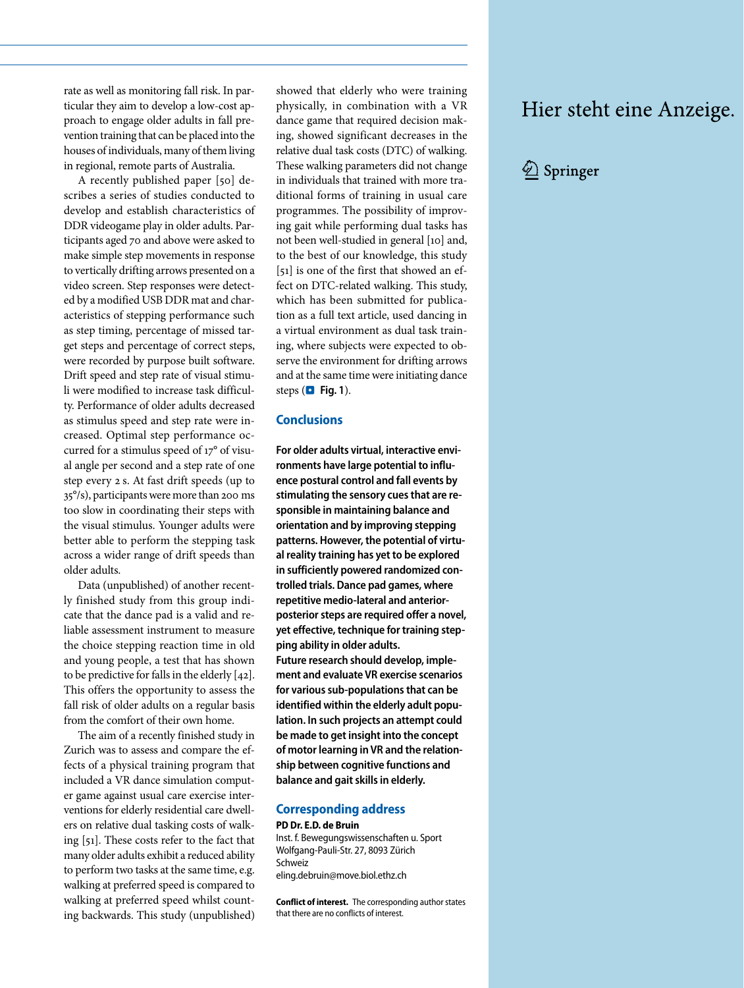rate as well as monitoring fall risk. In particular they aim to develop a low-cost approach to engage older adults in fall prevention training that can be placed into the houses of individuals, many of them living in regional, remote parts of Australia.

A recently published paper [50] describes a series of studies conducted to develop and establish characteristics of DDR videogame play in older adults. Participants aged 70 and above were asked to make simple step movements in response to vertically drifting arrows presented on a video screen. Step responses were detected by a modified USB DDR mat and characteristics of stepping performance such as step timing, percentage of missed target steps and percentage of correct steps, were recorded by purpose built software. Drift speed and step rate of visual stimuli were modified to increase task difficulty. Performance of older adults decreased as stimulus speed and step rate were increased. Optimal step performance occurred for a stimulus speed of 17° of visual angle per second and a step rate of one step every 2 s. At fast drift speeds (up to 35°/s), participants were more than 200 ms too slow in coordinating their steps with the visual stimulus. Younger adults were better able to perform the stepping task across a wider range of drift speeds than older adults.

Data (unpublished) of another recently finished study from this group indicate that the dance pad is a valid and reliable assessment instrument to measure the choice stepping reaction time in old and young people, a test that has shown to be predictive for falls in the elderly [42]. This offers the opportunity to assess the fall risk of older adults on a regular basis from the comfort of their own home.

The aim of a recently finished study in Zurich was to assess and compare the effects of a physical training program that included a VR dance simulation computer game against usual care exercise interventions for elderly residential care dwellers on relative dual tasking costs of walking [51]. These costs refer to the fact that many older adults exhibit a reduced ability to perform two tasks at the same time, e.g. walking at preferred speed is compared to walking at preferred speed whilst counting backwards. This study (unpublished) showed that elderly who were training physically, in combination with a VR dance game that required decision making, showed significant decreases in the relative dual task costs (DTC) of walking. These walking parameters did not change in individuals that trained with more traditional forms of training in usual care programmes. The possibility of improving gait while performing dual tasks has not been well-studied in general [10] and, to the best of our knowledge, this study [51] is one of the first that showed an effect on DTC-related walking. This study, which has been submitted for publication as a full text article, used dancing in a virtual environment as dual task training, where subjects were expected to observe the environment for drifting arrows and at the same time were initiating dance steps  $(\blacksquare$  Fig. 1).

#### **Conclusions**

**For older adults virtual, interactive environments have large potential to influence postural control and fall events by stimulating the sensory cuesthat are responsible in maintaining balance and orientation and by improving stepping patterns. However, the potential of virtual reality training has yet to be explored in sufficiently powered randomized controlled trials. Dance pad games, where repetitive medio-lateral and anteriorposteriorsteps are required offer a novel, yet effective, technique for training stepping ability in older adults. Future research should develop, implement and evaluate VR exercise scenarios for varioussub-populationsthat can be identified within the elderly adult population. In such projects an attempt could be made to get insight into the concept of motor learning in VR and the relationship between cognitive functions and balance and gaitskillsin elderly.**

#### **Corresponding address PD Dr. E.D. de Bruin**

Inst. f. Bewegungswissenschaften u. Sport Wolfgang-Pauli-Str. 27, 8093 Zürich Schweiz eling.debruin@move.biol.ethz.ch

**Conflict of interest.** The corresponding author states that there are no conflicts of interest.

# Hier steht eine Anzeige.

# $\mathcal{D}$  Springer